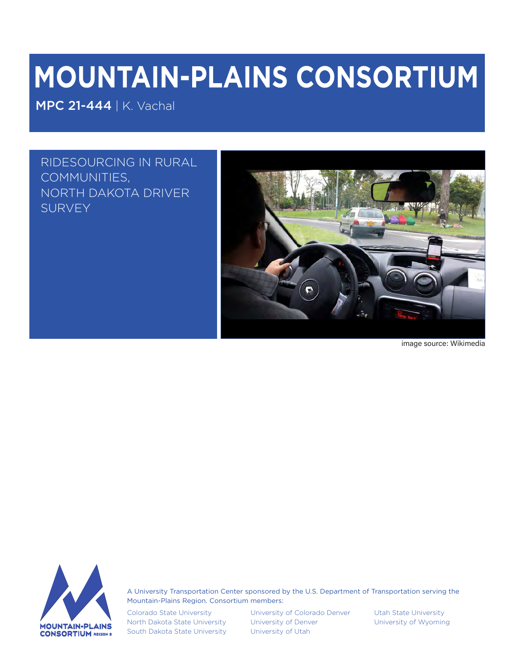# MOUNTAIN-PLAINS CONSORTIUM

MPC 21-444 | K. Vachal

RIDESOURCING IN RURAL COMMUNITIES, NORTH DAKOTA DRIVER **SURVEY** 



image source: Wikimedia



A University Transportation Center sponsored by the U.S. Department of Transportation serving the Mountain-Plains Region. Consortium members:

Colorado State University North Dakota State University South Dakota State University

University of Colorado Denver University of Denver University of Utah

Utah State University University of Wyoming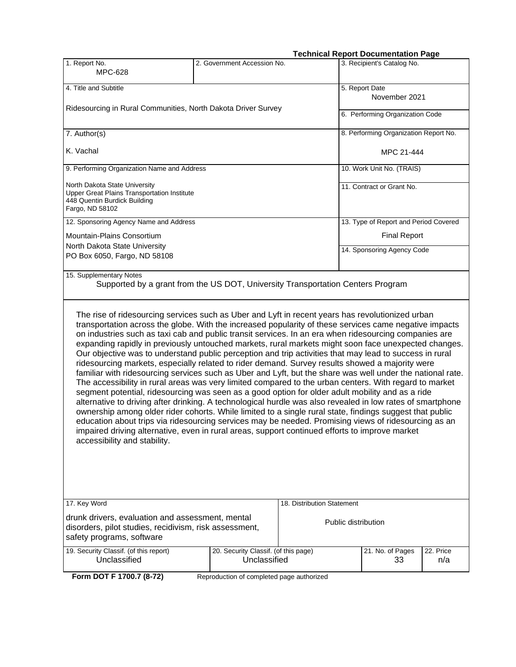#### **Technical Report Documentation Page**

|                                                                                                                                                                                                                                                                                                                                                                                                                                                                                                                                                                                                                                                                                                                                                                                                                                                                                                                                                                                                                                                                                                                                                                                                                                                                                                                                                                                                                                           |                                                      |                            | recimical Report Documentation Fage   |                  |  |  |  |
|-------------------------------------------------------------------------------------------------------------------------------------------------------------------------------------------------------------------------------------------------------------------------------------------------------------------------------------------------------------------------------------------------------------------------------------------------------------------------------------------------------------------------------------------------------------------------------------------------------------------------------------------------------------------------------------------------------------------------------------------------------------------------------------------------------------------------------------------------------------------------------------------------------------------------------------------------------------------------------------------------------------------------------------------------------------------------------------------------------------------------------------------------------------------------------------------------------------------------------------------------------------------------------------------------------------------------------------------------------------------------------------------------------------------------------------------|------------------------------------------------------|----------------------------|---------------------------------------|------------------|--|--|--|
| 1. Report No.<br><b>MPC-628</b>                                                                                                                                                                                                                                                                                                                                                                                                                                                                                                                                                                                                                                                                                                                                                                                                                                                                                                                                                                                                                                                                                                                                                                                                                                                                                                                                                                                                           | 2. Government Accession No.                          |                            | 3. Recipient's Catalog No.            |                  |  |  |  |
| 4. Title and Subtitle                                                                                                                                                                                                                                                                                                                                                                                                                                                                                                                                                                                                                                                                                                                                                                                                                                                                                                                                                                                                                                                                                                                                                                                                                                                                                                                                                                                                                     |                                                      |                            | 5. Report Date                        |                  |  |  |  |
|                                                                                                                                                                                                                                                                                                                                                                                                                                                                                                                                                                                                                                                                                                                                                                                                                                                                                                                                                                                                                                                                                                                                                                                                                                                                                                                                                                                                                                           |                                                      |                            | November 2021                         |                  |  |  |  |
| Ridesourcing in Rural Communities, North Dakota Driver Survey                                                                                                                                                                                                                                                                                                                                                                                                                                                                                                                                                                                                                                                                                                                                                                                                                                                                                                                                                                                                                                                                                                                                                                                                                                                                                                                                                                             |                                                      |                            | 6. Performing Organization Code       |                  |  |  |  |
| 7. Author(s)                                                                                                                                                                                                                                                                                                                                                                                                                                                                                                                                                                                                                                                                                                                                                                                                                                                                                                                                                                                                                                                                                                                                                                                                                                                                                                                                                                                                                              |                                                      |                            | 8. Performing Organization Report No. |                  |  |  |  |
| K. Vachal                                                                                                                                                                                                                                                                                                                                                                                                                                                                                                                                                                                                                                                                                                                                                                                                                                                                                                                                                                                                                                                                                                                                                                                                                                                                                                                                                                                                                                 |                                                      |                            | MPC 21-444                            |                  |  |  |  |
| 9. Performing Organization Name and Address                                                                                                                                                                                                                                                                                                                                                                                                                                                                                                                                                                                                                                                                                                                                                                                                                                                                                                                                                                                                                                                                                                                                                                                                                                                                                                                                                                                               |                                                      |                            | 10. Work Unit No. (TRAIS)             |                  |  |  |  |
| North Dakota State University<br><b>Upper Great Plains Transportation Institute</b><br>448 Quentin Burdick Building<br>Fargo, ND 58102                                                                                                                                                                                                                                                                                                                                                                                                                                                                                                                                                                                                                                                                                                                                                                                                                                                                                                                                                                                                                                                                                                                                                                                                                                                                                                    |                                                      |                            | 11. Contract or Grant No.             |                  |  |  |  |
| 12. Sponsoring Agency Name and Address                                                                                                                                                                                                                                                                                                                                                                                                                                                                                                                                                                                                                                                                                                                                                                                                                                                                                                                                                                                                                                                                                                                                                                                                                                                                                                                                                                                                    |                                                      |                            | 13. Type of Report and Period Covered |                  |  |  |  |
| Mountain-Plains Consortium                                                                                                                                                                                                                                                                                                                                                                                                                                                                                                                                                                                                                                                                                                                                                                                                                                                                                                                                                                                                                                                                                                                                                                                                                                                                                                                                                                                                                |                                                      |                            | <b>Final Report</b>                   |                  |  |  |  |
| North Dakota State University<br>PO Box 6050, Fargo, ND 58108                                                                                                                                                                                                                                                                                                                                                                                                                                                                                                                                                                                                                                                                                                                                                                                                                                                                                                                                                                                                                                                                                                                                                                                                                                                                                                                                                                             |                                                      |                            | 14. Sponsoring Agency Code            |                  |  |  |  |
| 15. Supplementary Notes<br>Supported by a grant from the US DOT, University Transportation Centers Program                                                                                                                                                                                                                                                                                                                                                                                                                                                                                                                                                                                                                                                                                                                                                                                                                                                                                                                                                                                                                                                                                                                                                                                                                                                                                                                                |                                                      |                            |                                       |                  |  |  |  |
| The rise of ridesourcing services such as Uber and Lyft in recent years has revolutionized urban<br>transportation across the globe. With the increased popularity of these services came negative impacts<br>on industries such as taxi cab and public transit services. In an era when ridesourcing companies are<br>expanding rapidly in previously untouched markets, rural markets might soon face unexpected changes.<br>Our objective was to understand public perception and trip activities that may lead to success in rural<br>ridesourcing markets, especially related to rider demand. Survey results showed a majority were<br>familiar with ridesourcing services such as Uber and Lyft, but the share was well under the national rate.<br>The accessibility in rural areas was very limited compared to the urban centers. With regard to market<br>segment potential, ridesourcing was seen as a good option for older adult mobility and as a ride<br>alternative to driving after drinking. A technological hurdle was also revealed in low rates of smartphone<br>ownership among older rider cohorts. While limited to a single rural state, findings suggest that public<br>education about trips via ridesourcing services may be needed. Promising views of ridesourcing as an<br>impaired driving alternative, even in rural areas, support continued efforts to improve market<br>accessibility and stability. |                                                      |                            |                                       |                  |  |  |  |
| 17. Key Word                                                                                                                                                                                                                                                                                                                                                                                                                                                                                                                                                                                                                                                                                                                                                                                                                                                                                                                                                                                                                                                                                                                                                                                                                                                                                                                                                                                                                              |                                                      | 18. Distribution Statement |                                       |                  |  |  |  |
| drunk drivers, evaluation and assessment, mental<br>disorders, pilot studies, recidivism, risk assessment,<br>safety programs, software                                                                                                                                                                                                                                                                                                                                                                                                                                                                                                                                                                                                                                                                                                                                                                                                                                                                                                                                                                                                                                                                                                                                                                                                                                                                                                   |                                                      | Public distribution        |                                       |                  |  |  |  |
| 19. Security Classif. (of this report)<br>Unclassified                                                                                                                                                                                                                                                                                                                                                                                                                                                                                                                                                                                                                                                                                                                                                                                                                                                                                                                                                                                                                                                                                                                                                                                                                                                                                                                                                                                    | 20. Security Classif. (of this page)<br>Unclassified |                            | 21. No. of Pages<br>33                | 22. Price<br>n/a |  |  |  |
|                                                                                                                                                                                                                                                                                                                                                                                                                                                                                                                                                                                                                                                                                                                                                                                                                                                                                                                                                                                                                                                                                                                                                                                                                                                                                                                                                                                                                                           |                                                      |                            |                                       |                  |  |  |  |

**Form DOT F 1700.7 (8-72)** Reproduction of completed page authorized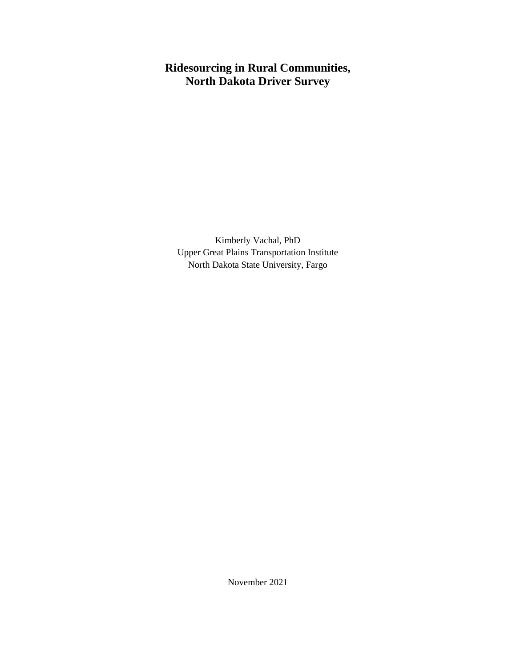# **Ridesourcing in Rural Communities, North Dakota Driver Survey**

Kimberly Vachal, PhD Upper Great Plains Transportation Institute North Dakota State University, Fargo

November 2021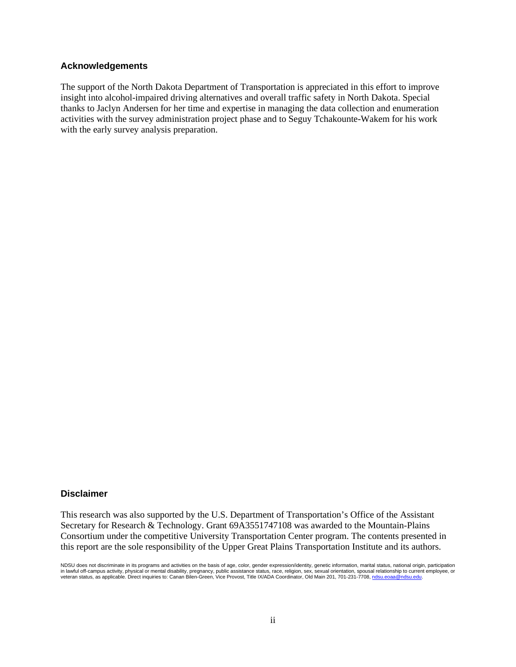#### **Acknowledgements**

The support of the North Dakota Department of Transportation is appreciated in this effort to improve insight into alcohol-impaired driving alternatives and overall traffic safety in North Dakota. Special thanks to Jaclyn Andersen for her time and expertise in managing the data collection and enumeration activities with the survey administration project phase and to Seguy Tchakounte-Wakem for his work with the early survey analysis preparation.

#### **Disclaimer**

This research was also supported by the U.S. Department of Transportation's Office of the Assistant Secretary for Research & Technology. Grant 69A3551747108 was awarded to the Mountain-Plains Consortium under the competitive University Transportation Center program. The contents presented in this report are the sole responsibility of the Upper Great Plains Transportation Institute and its authors.

NDSU does not discriminate in its programs and activities on the basis of age, color, gender expression/identity, genetic information, marital status, national origin, participation in lawful off-campus activity, physical or mental disability, pregnancy, public assistance status, race, religion, sex, sexual orientation, spousal relationship to current employee, or<br>veteran status, as applicable. Direct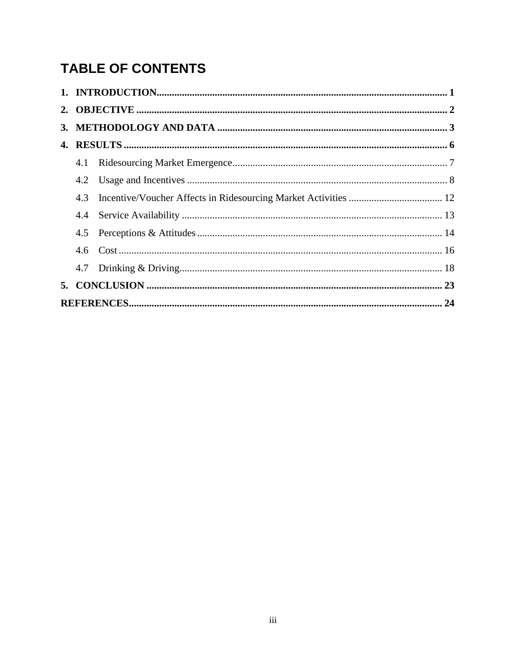# **TABLE OF CONTENTS**

| 4.1 |  |
|-----|--|
| 4.2 |  |
| 4.3 |  |
|     |  |
|     |  |
|     |  |
|     |  |
|     |  |
|     |  |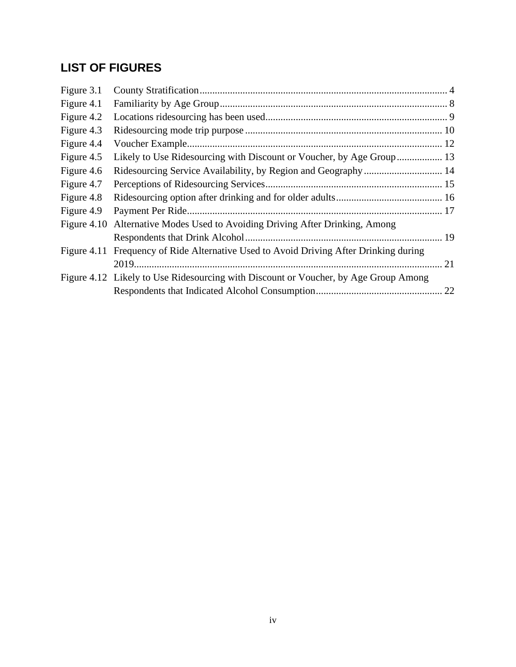# **LIST OF FIGURES**

| Figure 3.1    |                                                                                       |  |
|---------------|---------------------------------------------------------------------------------------|--|
| Figure 4.1    |                                                                                       |  |
| Figure 4.2    |                                                                                       |  |
| Figure 4.3    |                                                                                       |  |
| Figure 4.4    |                                                                                       |  |
| Figure 4.5    | Likely to Use Ridesourcing with Discount or Voucher, by Age Group 13                  |  |
| Figure 4.6    |                                                                                       |  |
| Figure 4.7    |                                                                                       |  |
| Figure 4.8    |                                                                                       |  |
| Figure 4.9    |                                                                                       |  |
| Figure $4.10$ | Alternative Modes Used to Avoiding Driving After Drinking, Among                      |  |
|               |                                                                                       |  |
|               | Figure 4.11 Frequency of Ride Alternative Used to Avoid Driving After Drinking during |  |
|               |                                                                                       |  |
|               | Figure 4.12 Likely to Use Ridesourcing with Discount or Voucher, by Age Group Among   |  |
|               |                                                                                       |  |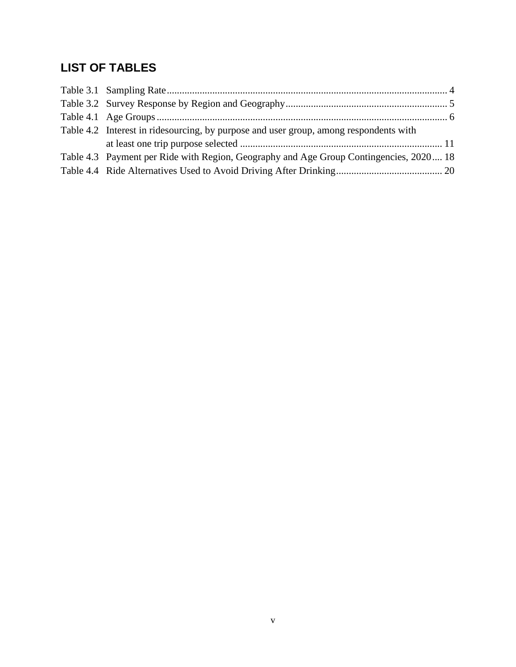# **LIST OF TABLES**

| Table 4.2 Interest in ridesourcing, by purpose and user group, among respondents with  |  |
|----------------------------------------------------------------------------------------|--|
|                                                                                        |  |
| Table 4.3 Payment per Ride with Region, Geography and Age Group Contingencies, 2020 18 |  |
|                                                                                        |  |
|                                                                                        |  |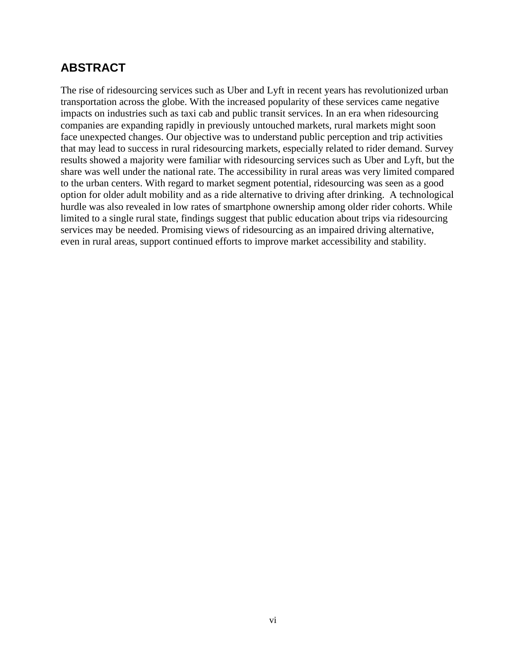## **ABSTRACT**

The rise of ridesourcing services such as Uber and Lyft in recent years has revolutionized urban transportation across the globe. With the increased popularity of these services came negative impacts on industries such as taxi cab and public transit services. In an era when ridesourcing companies are expanding rapidly in previously untouched markets, rural markets might soon face unexpected changes. Our objective was to understand public perception and trip activities that may lead to success in rural ridesourcing markets, especially related to rider demand. Survey results showed a majority were familiar with ridesourcing services such as Uber and Lyft, but the share was well under the national rate. The accessibility in rural areas was very limited compared to the urban centers. With regard to market segment potential, ridesourcing was seen as a good option for older adult mobility and as a ride alternative to driving after drinking. A technological hurdle was also revealed in low rates of smartphone ownership among older rider cohorts. While limited to a single rural state, findings suggest that public education about trips via ridesourcing services may be needed. Promising views of ridesourcing as an impaired driving alternative, even in rural areas, support continued efforts to improve market accessibility and stability.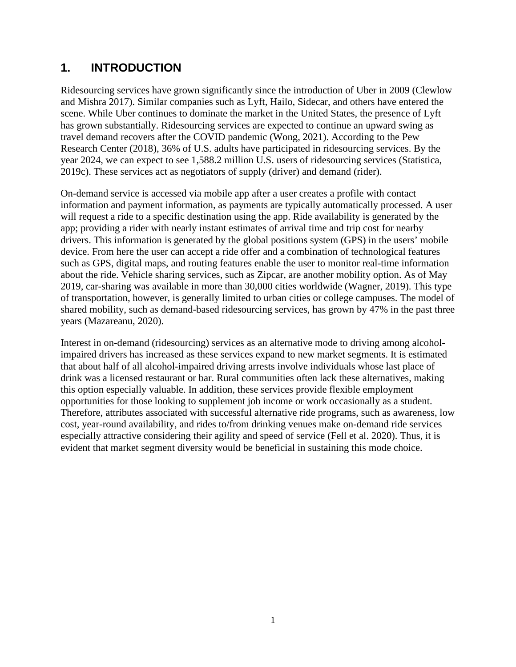# **1. INTRODUCTION**

Ridesourcing services have grown significantly since the introduction of Uber in 2009 (Clewlow and Mishra 2017). Similar companies such as Lyft, Hailo, Sidecar, and others have entered the scene. While Uber continues to dominate the market in the United States, the presence of Lyft has grown substantially. Ridesourcing services are expected to continue an upward swing as travel demand recovers after the COVID pandemic (Wong, 2021). According to the Pew Research Center (2018), 36% of U.S. adults have participated in ridesourcing services. By the year 2024, we can expect to see 1,588.2 million U.S. users of ridesourcing services (Statistica, 2019c). These services act as negotiators of supply (driver) and demand (rider).

On-demand service is accessed via mobile app after a user creates a profile with contact information and payment information, as payments are typically automatically processed. A user will request a ride to a specific destination using the app. Ride availability is generated by the app; providing a rider with nearly instant estimates of arrival time and trip cost for nearby drivers. This information is generated by the global positions system (GPS) in the users' mobile device. From here the user can accept a ride offer and a combination of technological features such as GPS, digital maps, and routing features enable the user to monitor real-time information about the ride. Vehicle sharing services, such as Zipcar, are another mobility option. As of May 2019, car-sharing was available in more than 30,000 cities worldwide (Wagner, 2019). This type of transportation, however, is generally limited to urban cities or college campuses. The model of shared mobility, such as demand-based ridesourcing services, has grown by 47% in the past three years (Mazareanu, 2020).

Interest in on-demand (ridesourcing) services as an alternative mode to driving among alcoholimpaired drivers has increased as these services expand to new market segments. It is estimated that about half of all alcohol-impaired driving arrests involve individuals whose last place of drink was a licensed restaurant or bar. Rural communities often lack these alternatives, making this option especially valuable. In addition, these services provide flexible employment opportunities for those looking to supplement job income or work occasionally as a student. Therefore, attributes associated with successful alternative ride programs, such as awareness, low cost, year-round availability, and rides to/from drinking venues make on-demand ride services especially attractive considering their agility and speed of service (Fell et al. 2020). Thus, it is evident that market segment diversity would be beneficial in sustaining this mode choice.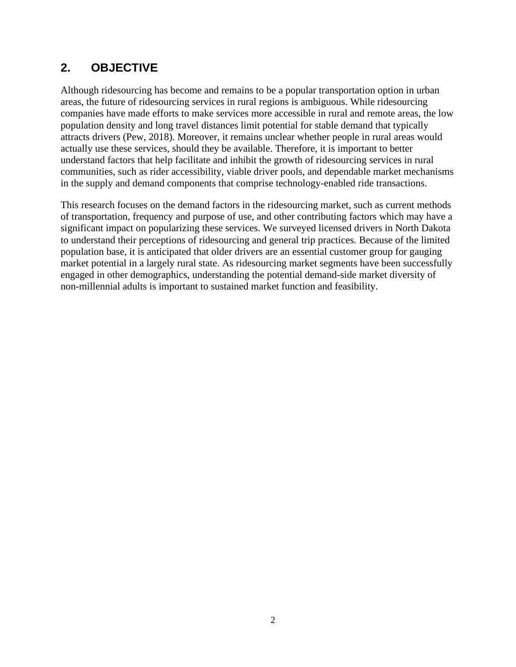# **2. OBJECTIVE**

Although ridesourcing has become and remains to be a popular transportation option in urban areas, the future of ridesourcing services in rural regions is ambiguous. While ridesourcing companies have made efforts to make services more accessible in rural and remote areas, the low population density and long travel distances limit potential for stable demand that typically attracts drivers (Pew, 2018). Moreover, it remains unclear whether people in rural areas would actually use these services, should they be available. Therefore, it is important to better understand factors that help facilitate and inhibit the growth of ridesourcing services in rural communities, such as rider accessibility, viable driver pools, and dependable market mechanisms in the supply and demand components that comprise technology-enabled ride transactions.

This research focuses on the demand factors in the ridesourcing market, such as current methods of transportation, frequency and purpose of use, and other contributing factors which may have a significant impact on popularizing these services. We surveyed licensed drivers in North Dakota to understand their perceptions of ridesourcing and general trip practices. Because of the limited population base, it is anticipated that older drivers are an essential customer group for gauging market potential in a largely rural state. As ridesourcing market segments have been successfully engaged in other demographics, understanding the potential demand-side market diversity of non-millennial adults is important to sustained market function and feasibility.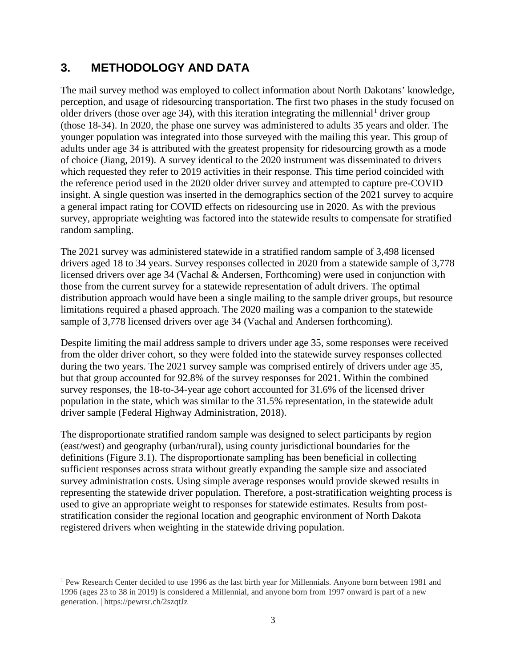# **3. METHODOLOGY AND DATA**

The mail survey method was employed to collect information about North Dakotans' knowledge, perception, and usage of ridesourcing transportation. The first two phases in the study focused on older drivers (those over age 34), with this iteration integrating the millennial<sup>[1](#page-10-0)</sup> driver group (those 18-34). In 2020, the phase one survey was administered to adults 35 years and older. The younger population was integrated into those surveyed with the mailing this year. This group of adults under age 34 is attributed with the greatest propensity for ridesourcing growth as a mode of choice (Jiang, 2019). A survey identical to the 2020 instrument was disseminated to drivers which requested they refer to 2019 activities in their response. This time period coincided with the reference period used in the 2020 older driver survey and attempted to capture pre-COVID insight. A single question was inserted in the demographics section of the 2021 survey to acquire a general impact rating for COVID effects on ridesourcing use in 2020. As with the previous survey, appropriate weighting was factored into the statewide results to compensate for stratified random sampling.

The 2021 survey was administered statewide in a stratified random sample of 3,498 licensed drivers aged 18 to 34 years. Survey responses collected in 2020 from a statewide sample of 3,778 licensed drivers over age 34 (Vachal & Andersen, Forthcoming) were used in conjunction with those from the current survey for a statewide representation of adult drivers. The optimal distribution approach would have been a single mailing to the sample driver groups, but resource limitations required a phased approach. The 2020 mailing was a companion to the statewide sample of 3,778 licensed drivers over age 34 (Vachal and Andersen forthcoming).

Despite limiting the mail address sample to drivers under age 35, some responses were received from the older driver cohort, so they were folded into the statewide survey responses collected during the two years. The 2021 survey sample was comprised entirely of drivers under age 35, but that group accounted for 92.8% of the survey responses for 2021. Within the combined survey responses, the 18-to-34-year age cohort accounted for 31.6% of the licensed driver population in the state, which was similar to the 31.5% representation, in the statewide adult driver sample (Federal Highway Administration, 2018).

The disproportionate stratified random sample was designed to select participants by region (east/west) and geography (urban/rural), using county jurisdictional boundaries for the definitions (Figure 3.1). The disproportionate sampling has been beneficial in collecting sufficient responses across strata without greatly expanding the sample size and associated survey administration costs. Using simple average responses would provide skewed results in representing the statewide driver population. Therefore, a post-stratification weighting process is used to give an appropriate weight to responses for statewide estimates. Results from poststratification consider the regional location and geographic environment of North Dakota registered drivers when weighting in the statewide driving population.

<span id="page-10-0"></span><sup>&</sup>lt;sup>1</sup> Pew Research Center decided to use 1996 as the last birth year for Millennials. Anyone born between 1981 and 1996 (ages 23 to 38 in 2019) is considered a Millennial, and anyone born from 1997 onward is part of a new generation. | https://pewrsr.ch/2szqtJz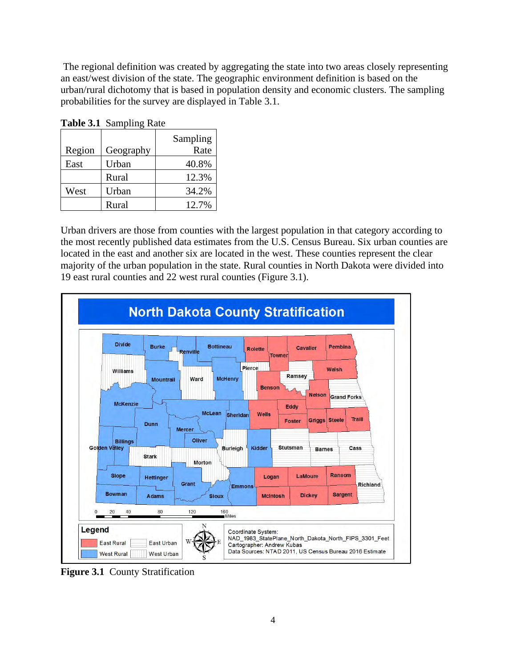The regional definition was created by aggregating the state into two areas closely representing an east/west division of the state. The geographic environment definition is based on the urban/rural dichotomy that is based in population density and economic clusters. The sampling probabilities for the survey are displayed in Table 3.1.

|        | <b>Tuble 011</b> buildpling Rule |                  |
|--------|----------------------------------|------------------|
| Region | Geography                        | Sampling<br>Rate |
| East   | Urban                            | 40.8%            |
|        | Rural                            | 12.3%            |
| West   | Urban                            | 34.2%            |
|        | Rural                            | 12.7%            |

<span id="page-11-1"></span>**Table 3.1** Sampling Rate

Urban drivers are those from counties with the largest population in that category according to the most recently published data estimates from the U.S. Census Bureau. Six urban counties are located in the east and another six are located in the west. These counties represent the clear majority of the urban population in the state. Rural counties in North Dakota were divided into 19 east rural counties and 22 west rural counties (Figure 3.1).



<span id="page-11-0"></span>**Figure 3.1** County Stratification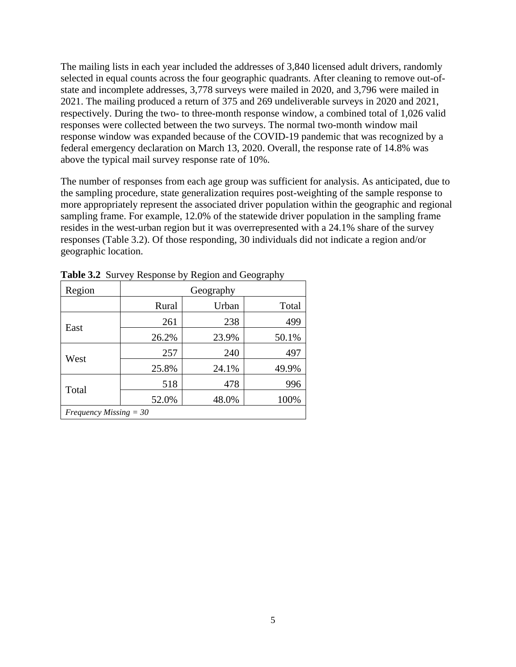The mailing lists in each year included the addresses of 3,840 licensed adult drivers, randomly selected in equal counts across the four geographic quadrants. After cleaning to remove out-ofstate and incomplete addresses, 3,778 surveys were mailed in 2020, and 3,796 were mailed in 2021. The mailing produced a return of 375 and 269 undeliverable surveys in 2020 and 2021, respectively. During the two- to three-month response window, a combined total of 1,026 valid responses were collected between the two surveys. The normal two-month window mail response window was expanded because of the COVID-19 pandemic that was recognized by a federal emergency declaration on March 13, 2020. Overall, the response rate of 14.8% was above the typical mail survey response rate of 10%.

The number of responses from each age group was sufficient for analysis. As anticipated, due to the sampling procedure, state generalization requires post-weighting of the sample response to more appropriately represent the associated driver population within the geographic and regional sampling frame. For example, 12.0% of the statewide driver population in the sampling frame resides in the west-urban region but it was overrepresented with a 24.1% share of the survey responses (Table 3.2). Of those responding, 30 individuals did not indicate a region and/or geographic location.

| Region                   |       | Geography     |       |
|--------------------------|-------|---------------|-------|
|                          | Rural | Urban         | Total |
| East                     | 261   | 238           | 499   |
|                          | 26.2% | 23.9%         | 50.1% |
|                          | 257   | 240           | 497   |
| West                     | 25.8% | 24.1%         | 49.9% |
|                          | 518   | 478           | 996   |
| Total                    | 52.0% | 48.0%<br>100% |       |
| Frequency Missing $=$ 30 |       |               |       |

<span id="page-12-0"></span>**Table 3.2** Survey Response by Region and Geography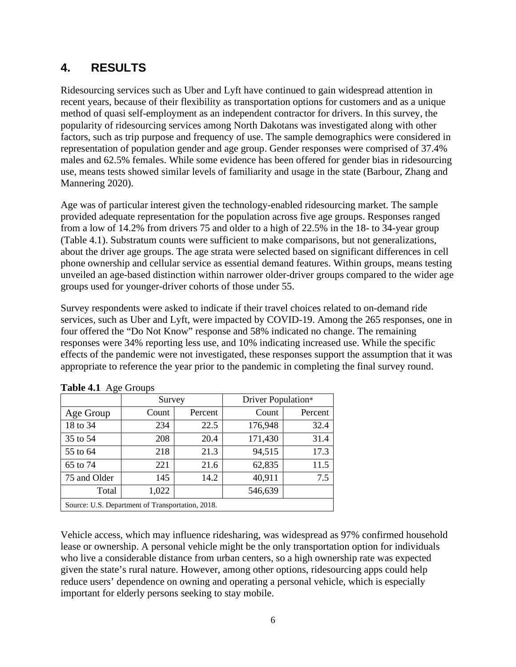# **4. RESULTS**

Ridesourcing services such as Uber and Lyft have continued to gain widespread attention in recent years, because of their flexibility as transportation options for customers and as a unique method of quasi self-employment as an independent contractor for drivers. In this survey, the popularity of ridesourcing services among North Dakotans was investigated along with other factors, such as trip purpose and frequency of use. The sample demographics were considered in representation of population gender and age group. Gender responses were comprised of 37.4% males and 62.5% females. While some evidence has been offered for gender bias in ridesourcing use, means tests showed similar levels of familiarity and usage in the state (Barbour, Zhang and Mannering 2020).

Age was of particular interest given the technology-enabled ridesourcing market. The sample provided adequate representation for the population across five age groups. Responses ranged from a low of 14.2% from drivers 75 and older to a high of 22.5% in the 18- to 34-year group (Table 4.1). Substratum counts were sufficient to make comparisons, but not generalizations, about the driver age groups. The age strata were selected based on significant differences in cell phone ownership and cellular service as essential demand features. Within groups, means testing unveiled an age-based distinction within narrower older-driver groups compared to the wider age groups used for younger-driver cohorts of those under 55.

Survey respondents were asked to indicate if their travel choices related to on-demand ride services, such as Uber and Lyft, were impacted by COVID-19. Among the 265 responses, one in four offered the "Do Not Know" response and 58% indicated no change. The remaining responses were 34% reporting less use, and 10% indicating increased use. While the specific effects of the pandemic were not investigated, these responses support the assumption that it was appropriate to reference the year prior to the pandemic in completing the final survey round.

|                                                  | Survey |         | Driver Population* |         |  |  |  |  |
|--------------------------------------------------|--------|---------|--------------------|---------|--|--|--|--|
| Age Group                                        | Count  | Percent | Count              | Percent |  |  |  |  |
| 18 to 34                                         | 234    | 22.5    | 176,948            | 32.4    |  |  |  |  |
| 35 to 54                                         | 208    | 20.4    | 171,430            | 31.4    |  |  |  |  |
| 55 to 64                                         | 218    | 21.3    | 94,515             | 17.3    |  |  |  |  |
| 65 to 74                                         | 221    | 21.6    | 62,835             | 11.5    |  |  |  |  |
| 75 and Older                                     | 145    | 14.2    | 40,911             | 7.5     |  |  |  |  |
| Total                                            | 1,022  |         | 546,639            |         |  |  |  |  |
| Source: U.S. Department of Transportation, 2018. |        |         |                    |         |  |  |  |  |

<span id="page-13-0"></span>

Vehicle access, which may influence ridesharing, was widespread as 97% confirmed household lease or ownership. A personal vehicle might be the only transportation option for individuals who live a considerable distance from urban centers, so a high ownership rate was expected given the state's rural nature. However, among other options, ridesourcing apps could help reduce users' dependence on owning and operating a personal vehicle, which is especially important for elderly persons seeking to stay mobile.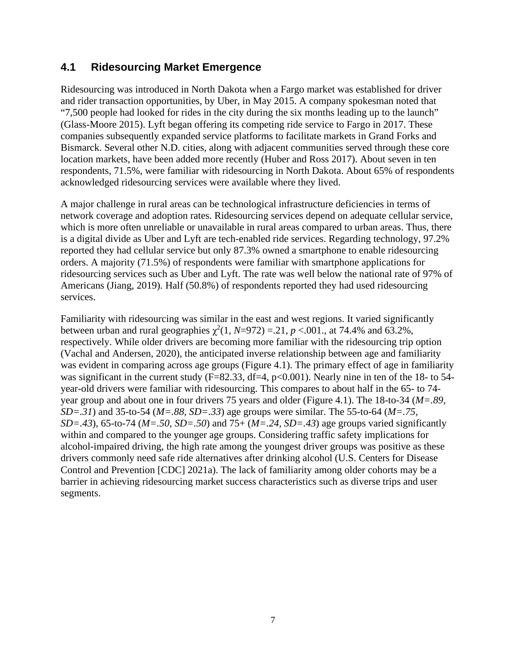#### **4.1 Ridesourcing Market Emergence**

Ridesourcing was introduced in North Dakota when a Fargo market was established for driver and rider transaction opportunities, by Uber, in May 2015. A company spokesman noted that "7,500 people had looked for rides in the city during the six months leading up to the launch" (Glass-Moore 2015). Lyft began offering its competing ride service to Fargo in 2017. These companies subsequently expanded service platforms to facilitate markets in Grand Forks and Bismarck. Several other N.D. cities, along with adjacent communities served through these core location markets, have been added more recently (Huber and Ross 2017). About seven in ten respondents, 71.5%, were familiar with ridesourcing in North Dakota. About 65% of respondents acknowledged ridesourcing services were available where they lived.

A major challenge in rural areas can be technological infrastructure deficiencies in terms of network coverage and adoption rates. Ridesourcing services depend on adequate cellular service, which is more often unreliable or unavailable in rural areas compared to urban areas. Thus, there is a digital divide as Uber and Lyft are tech-enabled ride services. Regarding technology, 97.2% reported they had cellular service but only 87.3% owned a smartphone to enable ridesourcing orders. A majority (71.5%) of respondents were familiar with smartphone applications for ridesourcing services such as Uber and Lyft. The rate was well below the national rate of 97% of Americans (Jiang, 2019). Half (50.8%) of respondents reported they had used ridesourcing services.

Familiarity with ridesourcing was similar in the east and west regions. It varied significantly between urban and rural geographies  $\chi^2(1, N=972) = .21, p < .001$ ., at 74.4% and 63.2%, respectively. While older drivers are becoming more familiar with the ridesourcing trip option (Vachal and Andersen, 2020), the anticipated inverse relationship between age and familiarity was evident in comparing across age groups (Figure 4.1). The primary effect of age in familiarity was significant in the current study ( $F=82.33$ , df=4, p<0.001). Nearly nine in ten of the 18- to 54year-old drivers were familiar with ridesourcing. This compares to about half in the 65- to 74 year group and about one in four drivers 75 years and older [\(Figure 4.1\)](#page-15-0). The 18-to-34 (*M=.89, SD=.31*) and 35-to-54 (*M=.88, SD=.33*) age groups were similar. The 55-to-64 (*M=.75, SD=.43*), 65-to-74 (*M=.50, SD=.50*) and 75+ (*M=.24, SD=.43*) age groups varied significantly within and compared to the younger age groups. Considering traffic safety implications for alcohol-impaired driving, the high rate among the youngest driver groups was positive as these drivers commonly need safe ride alternatives after drinking alcohol (U.S. Centers for Disease Control and Prevention [CDC] 2021a). The lack of familiarity among older cohorts may be a barrier in achieving ridesourcing market success characteristics such as diverse trips and user segments.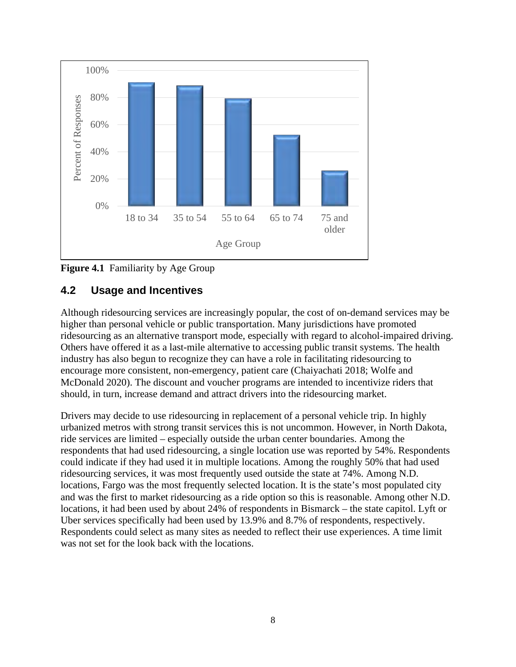

<span id="page-15-0"></span>

#### **4.2 Usage and Incentives**

Although ridesourcing services are increasingly popular, the cost of on-demand services may be higher than personal vehicle or public transportation. Many jurisdictions have promoted ridesourcing as an alternative transport mode, especially with regard to alcohol-impaired driving. Others have offered it as a last-mile alternative to accessing public transit systems. The health industry has also begun to recognize they can have a role in facilitating ridesourcing to encourage more consistent, non-emergency, patient care (Chaiyachati 2018; Wolfe and McDonald 2020). The discount and voucher programs are intended to incentivize riders that should, in turn, increase demand and attract drivers into the ridesourcing market.

Drivers may decide to use ridesourcing in replacement of a personal vehicle trip. In highly urbanized metros with strong transit services this is not uncommon. However, in North Dakota, ride services are limited – especially outside the urban center boundaries. Among the respondents that had used ridesourcing, a single location use was reported by 54%. Respondents could indicate if they had used it in multiple locations. Among the roughly 50% that had used ridesourcing services, it was most frequently used outside the state at 74%. Among N.D. locations, Fargo was the most frequently selected location. It is the state's most populated city and was the first to market ridesourcing as a ride option so this is reasonable. Among other N.D. locations, it had been used by about 24% of respondents in Bismarck – the state capitol. Lyft or Uber services specifically had been used by 13.9% and 8.7% of respondents, respectively. Respondents could select as many sites as needed to reflect their use experiences. A time limit was not set for the look back with the locations.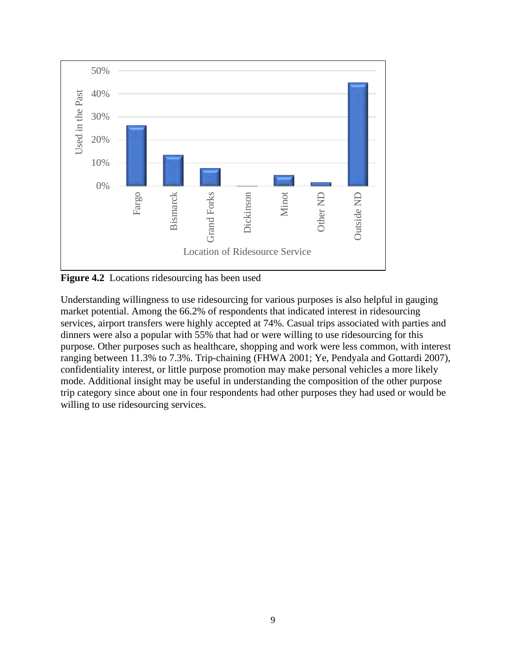

<span id="page-16-0"></span>**Figure 4.2** Locations ridesourcing has been used

Understanding willingness to use ridesourcing for various purposes is also helpful in gauging market potential. Among the 66.2% of respondents that indicated interest in ridesourcing services, airport transfers were highly accepted at 74%. Casual trips associated with parties and dinners were also a popular with 55% that had or were willing to use ridesourcing for this purpose. Other purposes such as healthcare, shopping and work were less common, with interest ranging between 11.3% to 7.3%. Trip-chaining (FHWA 2001; Ye, Pendyala and Gottardi 2007), confidentiality interest, or little purpose promotion may make personal vehicles a more likely mode. Additional insight may be useful in understanding the composition of the other purpose trip category since about one in four respondents had other purposes they had used or would be willing to use ridesourcing services.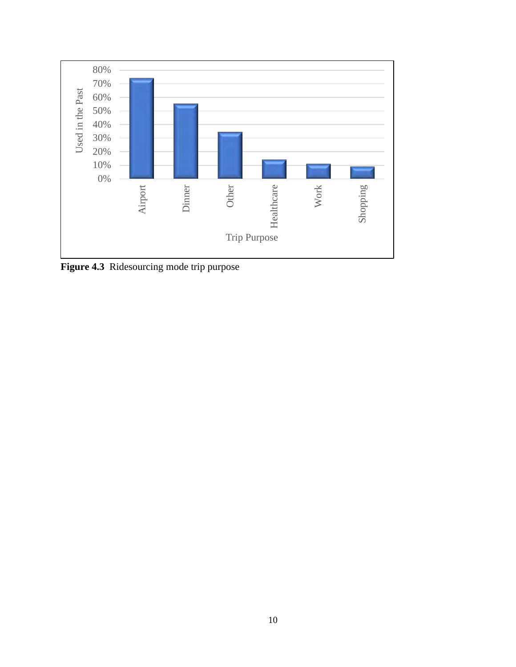

<span id="page-17-0"></span>**Figure 4.3** Ridesourcing mode trip purpose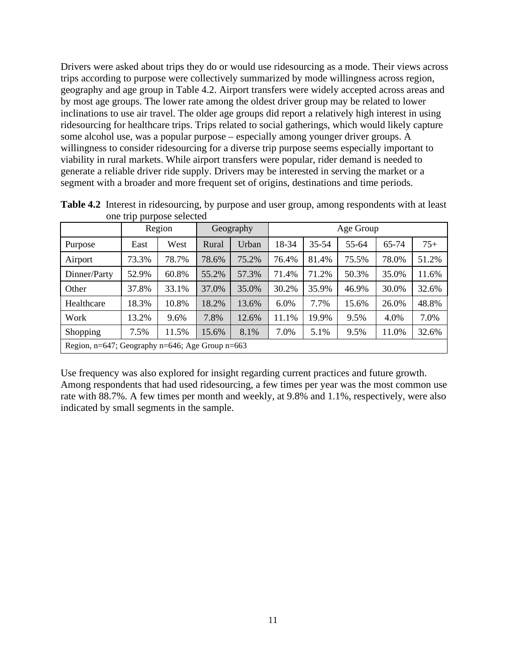Drivers were asked about trips they do or would use ridesourcing as a mode. Their views across trips according to purpose were collectively summarized by mode willingness across region, geography and age group in Table 4.2. Airport transfers were widely accepted across areas and by most age groups. The lower rate among the oldest driver group may be related to lower inclinations to use air travel. The older age groups did report a relatively high interest in using ridesourcing for healthcare trips. Trips related to social gatherings, which would likely capture some alcohol use, was a popular purpose – especially among younger driver groups. A willingness to consider ridesourcing for a diverse trip purpose seems especially important to viability in rural markets. While airport transfers were popular, rider demand is needed to generate a reliable driver ride supply. Drivers may be interested in serving the market or a segment with a broader and more frequent set of origins, destinations and time periods.

|                                                         |       | Region |       | Geography | Age Group |       |       |       |       |  |
|---------------------------------------------------------|-------|--------|-------|-----------|-----------|-------|-------|-------|-------|--|
| Purpose                                                 | East  | West   | Rural | Urban     | 18-34     | 35-54 | 55-64 | 65-74 | $75+$ |  |
| Airport                                                 | 73.3% | 78.7%  | 78.6% | 75.2%     | 76.4%     | 81.4% | 75.5% | 78.0% | 51.2% |  |
| Dinner/Party                                            | 52.9% | 60.8%  | 55.2% | 57.3%     | 71.4%     | 71.2% | 50.3% | 35.0% | 11.6% |  |
| Other                                                   | 37.8% | 33.1%  | 37.0% | 35.0%     | 30.2%     | 35.9% | 46.9% | 30.0% | 32.6% |  |
| Healthcare                                              | 18.3% | 10.8%  | 18.2% | 13.6%     | 6.0%      | 7.7%  | 15.6% | 26.0% | 48.8% |  |
| Work                                                    | 13.2% | 9.6%   | 7.8%  | 12.6%     | 11.1%     | 19.9% | 9.5%  | 4.0%  | 7.0%  |  |
| Shopping                                                | 7.5%  | 11.5%  | 15.6% | 8.1%      | 7.0%      | 5.1%  | 9.5%  | 11.0% | 32.6% |  |
| Region, $n=647$ ; Geography $n=646$ ; Age Group $n=663$ |       |        |       |           |           |       |       |       |       |  |

<span id="page-18-0"></span>**Table 4.2** Interest in ridesourcing, by purpose and user group, among respondents with at least one trip purpose selected

Use frequency was also explored for insight regarding current practices and future growth. Among respondents that had used ridesourcing, a few times per year was the most common use rate with 88.7%. A few times per month and weekly, at 9.8% and 1.1%, respectively, were also indicated by small segments in the sample.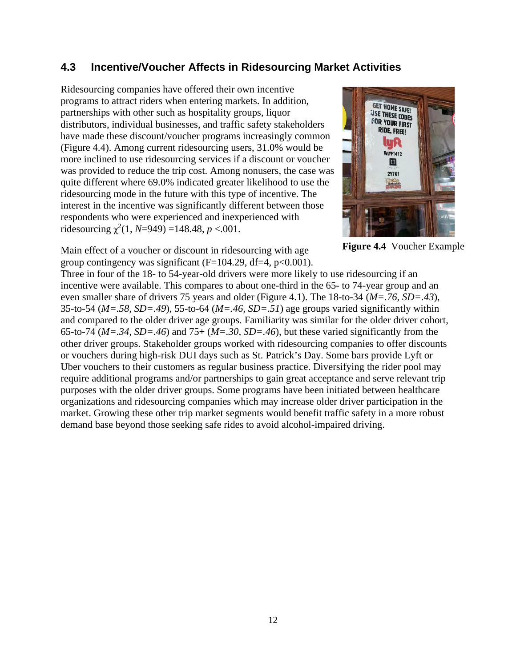#### **4.3 Incentive/Voucher Affects in Ridesourcing Market Activities**

Ridesourcing companies have offered their own incentive programs to attract riders when entering markets. In addition, partnerships with other such as hospitality groups, liquor distributors, individual businesses, and traffic safety stakeholders have made these discount/voucher programs increasingly common (Figure 4.4). Among current ridesourcing users, 31.0% would be more inclined to use ridesourcing services if a discount or voucher was provided to reduce the trip cost. Among nonusers, the case was quite different where 69.0% indicated greater likelihood to use the ridesourcing mode in the future with this type of incentive. The interest in the incentive was significantly different between those respondents who were experienced and inexperienced with ridesourcing  $\chi^2(1, N=949) = 148.48, p < .001$ .



**Figure 4.4** Voucher Example

Main effect of a voucher or discount in ridesourcing with age group contingency was significant ( $F=104.29$ , df $=4$ ,  $p<0.001$ ).

Three in four of the 18- to 54-year-old drivers were more likely to use ridesourcing if an incentive were available. This compares to about one-third in the 65- to 74-year group and an even smaller share of drivers 75 years and older (Figure 4.1). The 18-to-34 (*M=.76, SD=.43*), 35-to-54 (*M=.58, SD=.49*), 55-to-64 (*M=.46, SD=.51*) age groups varied significantly within and compared to the older driver age groups. Familiarity was similar for the older driver cohort, 65-to-74 (*M=.34, SD=.46*) and 75+ (*M=.30, SD=.46*), but these varied significantly from the other driver groups. Stakeholder groups worked with ridesourcing companies to offer discounts or vouchers during high-risk DUI days such as St. Patrick's Day. Some bars provide Lyft or Uber vouchers to their customers as regular business practice. Diversifying the rider pool may require additional programs and/or partnerships to gain great acceptance and serve relevant trip purposes with the older driver groups. Some programs have been initiated between healthcare organizations and ridesourcing companies which may increase older driver participation in the market. Growing these other trip market segments would benefit traffic safety in a more robust demand base beyond those seeking safe rides to avoid alcohol-impaired driving.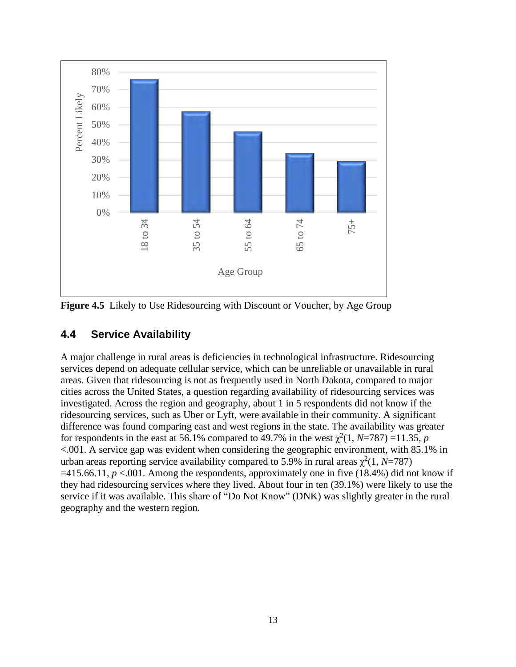

**Figure 4.5** Likely to Use Ridesourcing with Discount or Voucher, by Age Group

#### **4.4 Service Availability**

A major challenge in rural areas is deficiencies in technological infrastructure. Ridesourcing services depend on adequate cellular service, which can be unreliable or unavailable in rural areas. Given that ridesourcing is not as frequently used in North Dakota, compared to major cities across the United States, a question regarding availability of ridesourcing services was investigated. Across the region and geography, about 1 in 5 respondents did not know if the ridesourcing services, such as Uber or Lyft, were available in their community. A significant difference was found comparing east and west regions in the state. The availability was greater for respondents in the east at 56.1% compared to 49.7% in the west  $\chi^2(1, N=787) = 11.35$ , *p* <.001. A service gap was evident when considering the geographic environment, with 85.1% in urban areas reporting service availability compared to 5.9% in rural areas  $\chi^2(1, N=787)$  $=415.66.11, p < 0.001$ . Among the respondents, approximately one in five (18.4%) did not know if they had ridesourcing services where they lived. About four in ten (39.1%) were likely to use the service if it was available. This share of "Do Not Know" (DNK) was slightly greater in the rural geography and the western region.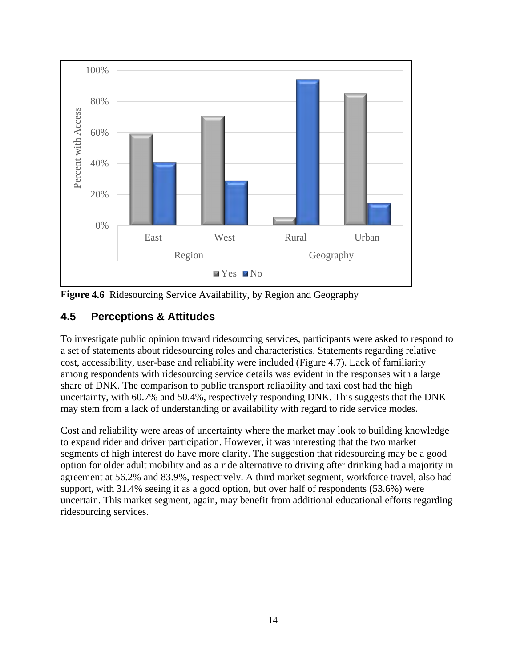

<span id="page-21-0"></span>**Figure 4.6** Ridesourcing Service Availability, by Region and Geography

### **4.5 Perceptions & Attitudes**

To investigate public opinion toward ridesourcing services, participants were asked to respond to a set of statements about ridesourcing roles and characteristics. Statements regarding relative cost, accessibility, user-base and reliability were included (Figure 4.7). Lack of familiarity among respondents with ridesourcing service details was evident in the responses with a large share of DNK. The comparison to public transport reliability and taxi cost had the high uncertainty, with 60.7% and 50.4%, respectively responding DNK. This suggests that the DNK may stem from a lack of understanding or availability with regard to ride service modes.

Cost and reliability were areas of uncertainty where the market may look to building knowledge to expand rider and driver participation. However, it was interesting that the two market segments of high interest do have more clarity. The suggestion that ridesourcing may be a good option for older adult mobility and as a ride alternative to driving after drinking had a majority in agreement at 56.2% and 83.9%, respectively. A third market segment, workforce travel, also had support, with 31.4% seeing it as a good option, but over half of respondents (53.6%) were uncertain. This market segment, again, may benefit from additional educational efforts regarding ridesourcing services.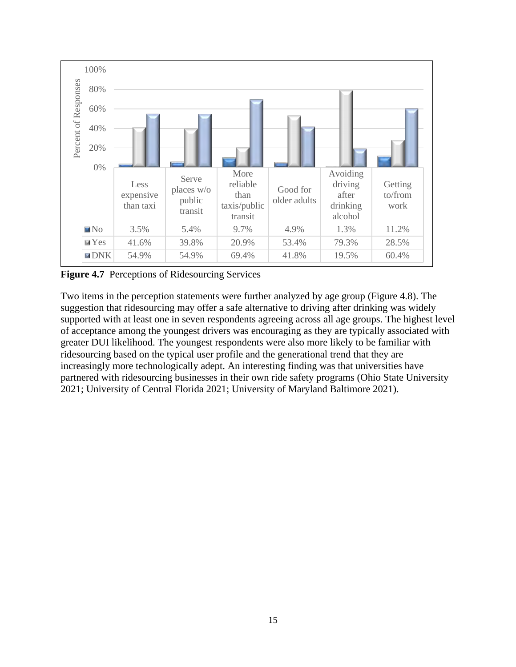

<span id="page-22-0"></span>**Figure 4.7** Perceptions of Ridesourcing Services

Two items in the perception statements were further analyzed by age group (Figure 4.8). The suggestion that ridesourcing may offer a safe alternative to driving after drinking was widely supported with at least one in seven respondents agreeing across all age groups. The highest level of acceptance among the youngest drivers was encouraging as they are typically associated with greater DUI likelihood. The youngest respondents were also more likely to be familiar with ridesourcing based on the typical user profile and the generational trend that they are increasingly more technologically adept. An interesting finding was that universities have partnered with ridesourcing businesses in their own ride safety programs (Ohio State University 2021; University of Central Florida 2021; University of Maryland Baltimore 2021).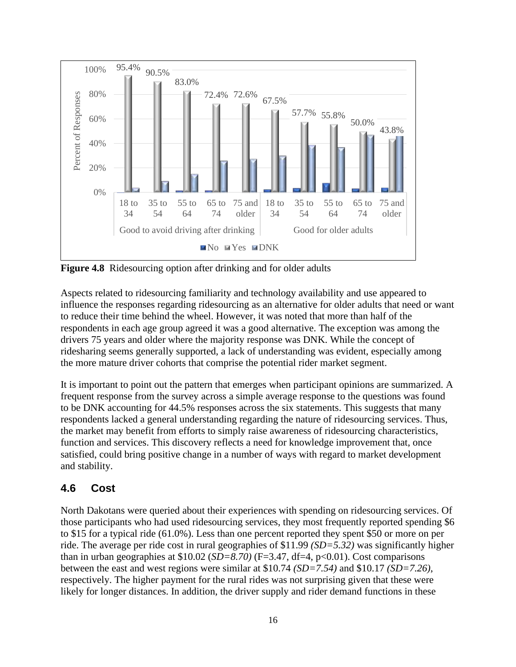

**Figure 4.8** Ridesourcing option after drinking and for older adults

Aspects related to ridesourcing familiarity and technology availability and use appeared to influence the responses regarding ridesourcing as an alternative for older adults that need or want to reduce their time behind the wheel. However, it was noted that more than half of the respondents in each age group agreed it was a good alternative. The exception was among the drivers 75 years and older where the majority response was DNK. While the concept of ridesharing seems generally supported, a lack of understanding was evident, especially among the more mature driver cohorts that comprise the potential rider market segment.

It is important to point out the pattern that emerges when participant opinions are summarized. A frequent response from the survey across a simple average response to the questions was found to be DNK accounting for 44.5% responses across the six statements. This suggests that many respondents lacked a general understanding regarding the nature of ridesourcing services. Thus, the market may benefit from efforts to simply raise awareness of ridesourcing characteristics, function and services. This discovery reflects a need for knowledge improvement that, once satisfied, could bring positive change in a number of ways with regard to market development and stability.

#### **4.6 Cost**

North Dakotans were queried about their experiences with spending on ridesourcing services. Of those participants who had used ridesourcing services, they most frequently reported spending \$6 to \$15 for a typical ride (61.0%). Less than one percent reported they spent \$50 or more on per ride. The average per ride cost in rural geographies of \$11.99 *(SD=5.32)* was significantly higher than in urban geographies at  $$10.02$  (*SD*=8.70) (F=3.47, df=4, p<0.01). Cost comparisons between the east and west regions were similar at \$10.74 *(SD=7.54)* and \$10.17 *(SD=7.26)*, respectively. The higher payment for the rural rides was not surprising given that these were likely for longer distances. In addition, the driver supply and rider demand functions in these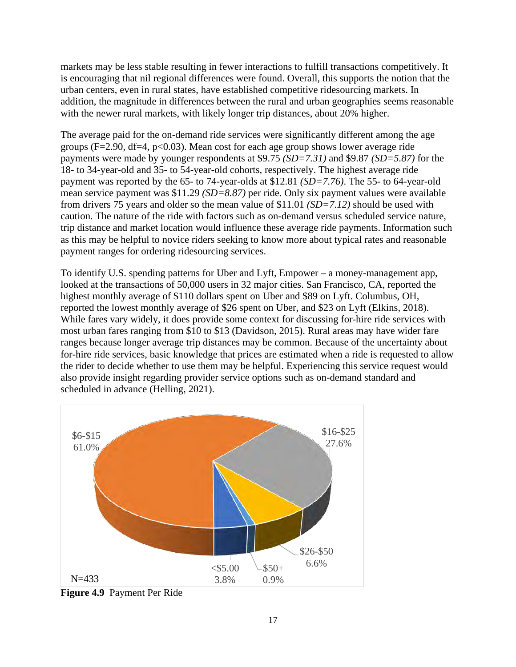markets may be less stable resulting in fewer interactions to fulfill transactions competitively. It is encouraging that nil regional differences were found. Overall, this supports the notion that the urban centers, even in rural states, have established competitive ridesourcing markets. In addition, the magnitude in differences between the rural and urban geographies seems reasonable with the newer rural markets, with likely longer trip distances, about 20% higher.

The average paid for the on-demand ride services were significantly different among the age groups ( $F=2.90$ , df $=4$ ,  $p<0.03$ ). Mean cost for each age group shows lower average ride payments were made by younger respondents at \$9.75 *(SD=7.31)* and \$9.87 *(SD=5.87)* for the 18- to 34-year-old and 35- to 54-year-old cohorts, respectively. The highest average ride payment was reported by the 65- to 74-year-olds at \$12.81 *(SD=7.76)*. The 55- to 64-year-old mean service payment was \$11.29 *(SD=8.87)* per ride. Only six payment values were available from drivers 75 years and older so the mean value of \$11.01 *(SD=7.12)* should be used with caution. The nature of the ride with factors such as on-demand versus scheduled service nature, trip distance and market location would influence these average ride payments. Information such as this may be helpful to novice riders seeking to know more about typical rates and reasonable payment ranges for ordering ridesourcing services.

To identify U.S. spending patterns for Uber and Lyft, Empower – a money-management app, looked at the transactions of 50,000 users in 32 major cities. San Francisco, CA, reported the highest monthly average of \$110 dollars spent on Uber and \$89 on Lyft. Columbus, OH, reported the lowest monthly average of \$26 spent on Uber, and \$23 on Lyft (Elkins, 2018). While fares vary widely, it does provide some context for discussing for-hire ride services with most urban fares ranging from \$10 to \$13 (Davidson, 2015). Rural areas may have wider fare ranges because longer average trip distances may be common. Because of the uncertainty about for-hire ride services, basic knowledge that prices are estimated when a ride is requested to allow the rider to decide whether to use them may be helpful. Experiencing this service request would also provide insight regarding provider service options such as on-demand standard and scheduled in advance (Helling, 2021).



<span id="page-24-0"></span>**Figure 4.9** Payment Per Ride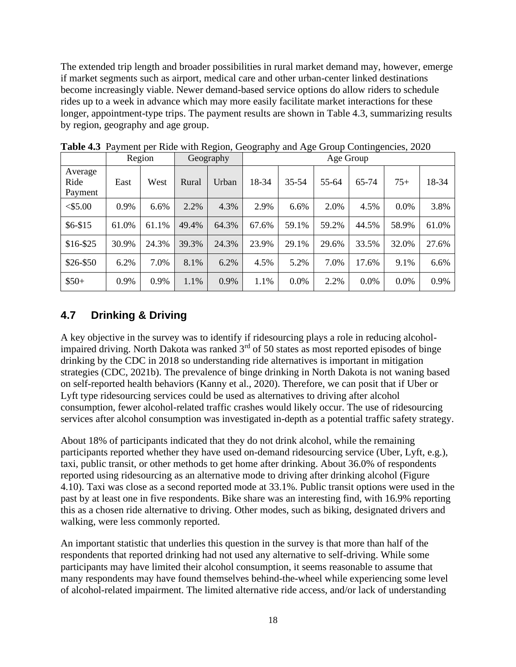The extended trip length and broader possibilities in rural market demand may, however, emerge if market segments such as airport, medical care and other urban-center linked destinations become increasingly viable. Newer demand-based service options do allow riders to schedule rides up to a week in advance which may more easily facilitate market interactions for these longer, appointment-type trips. The payment results are shown in Table 4.3, summarizing results by region, geography and age group.

|                            |       | Region |       | Geography |       | Age Group |       |       |         |       |
|----------------------------|-------|--------|-------|-----------|-------|-----------|-------|-------|---------|-------|
| Average<br>Ride<br>Payment | East  | West   | Rural | Urban     | 18-34 | $35 - 54$ | 55-64 | 65-74 | $75+$   | 18-34 |
| $<$ \$5.00                 | 0.9%  | 6.6%   | 2.2%  | 4.3%      | 2.9%  | 6.6%      | 2.0%  | 4.5%  | 0.0%    | 3.8%  |
| $$6 - $15$                 | 61.0% | 61.1%  | 49.4% | 64.3%     | 67.6% | 59.1%     | 59.2% | 44.5% | 58.9%   | 61.0% |
| $$16 - $25$                | 30.9% | 24.3%  | 39.3% | 24.3%     | 23.9% | 29.1%     | 29.6% | 33.5% | 32.0%   | 27.6% |
| \$26-\$50                  | 6.2%  | 7.0%   | 8.1%  | 6.2%      | 4.5%  | 5.2%      | 7.0%  | 17.6% | 9.1%    | 6.6%  |
| $$50+$                     | 0.9%  | 0.9%   | 1.1%  | 0.9%      | 1.1%  | 0.0%      | 2.2%  | 0.0%  | $0.0\%$ | 0.9%  |

<span id="page-25-0"></span>**Table 4.3** Payment per Ride with Region, Geography and Age Group Contingencies, 2020

#### **4.7 Drinking & Driving**

A key objective in the survey was to identify if ridesourcing plays a role in reducing alcoholimpaired driving. North Dakota was ranked  $3<sup>rd</sup>$  of 50 states as most reported episodes of binge drinking by the CDC in 2018 so understanding ride alternatives is important in mitigation strategies (CDC, 2021b). The prevalence of binge drinking in North Dakota is not waning based on self-reported health behaviors (Kanny et al., 2020). Therefore, we can posit that if Uber or Lyft type ridesourcing services could be used as alternatives to driving after alcohol consumption, fewer alcohol-related traffic crashes would likely occur. The use of ridesourcing services after alcohol consumption was investigated in-depth as a potential traffic safety strategy.

About 18% of participants indicated that they do not drink alcohol, while the remaining participants reported whether they have used on-demand ridesourcing service (Uber, Lyft, e.g.), taxi, public transit, or other methods to get home after drinking. About 36.0% of respondents reported using ridesourcing as an alternative mode to driving after drinking alcohol (Figure 4.10). Taxi was close as a second reported mode at 33.1%. Public transit options were used in the past by at least one in five respondents. Bike share was an interesting find, with 16.9% reporting this as a chosen ride alternative to driving. Other modes, such as biking, designated drivers and walking, were less commonly reported.

An important statistic that underlies this question in the survey is that more than half of the respondents that reported drinking had not used any alternative to self-driving. While some participants may have limited their alcohol consumption, it seems reasonable to assume that many respondents may have found themselves behind-the-wheel while experiencing some level of alcohol-related impairment. The limited alternative ride access, and/or lack of understanding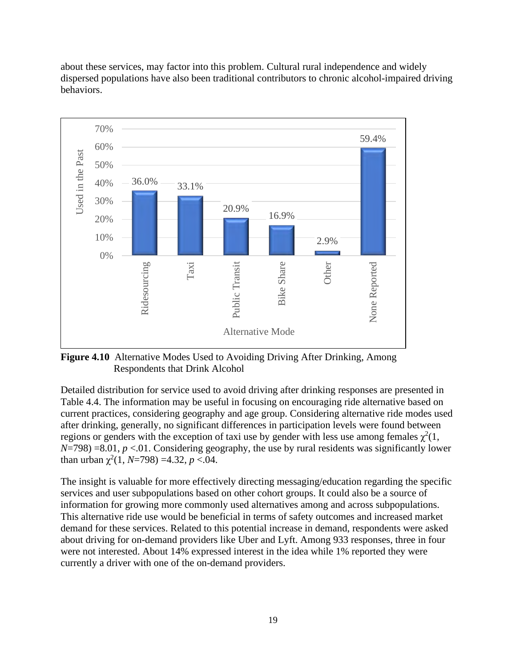

about these services, may factor into this problem. Cultural rural independence and widely dispersed populations have also been traditional contributors to chronic alcohol-impaired driving behaviors.

<span id="page-26-0"></span>**Figure 4.10** Alternative Modes Used to Avoiding Driving After Drinking, Among Respondents that Drink Alcohol

Detailed distribution for service used to avoid driving after drinking responses are presented in Table 4.4. The information may be useful in focusing on encouraging ride alternative based on current practices, considering geography and age group. Considering alternative ride modes used after drinking, generally, no significant differences in participation levels were found between regions or genders with the exception of taxi use by gender with less use among females  $\chi^2(1)$ , *N*=798) =8.01, *p* <.01. Considering geography, the use by rural residents was significantly lower than urban  $\chi^2(1, N=798) = 4.32, p < 0.04$ .

<span id="page-26-1"></span>The insight is valuable for more effectively directing messaging/education regarding the specific services and user subpopulations based on other cohort groups. It could also be a source of information for growing more commonly used alternatives among and across subpopulations. This alternative ride use would be beneficial in terms of safety outcomes and increased market demand for these services. Related to this potential increase in demand, respondents were asked about driving for on-demand providers like Uber and Lyft. Among 933 responses, three in four were not interested. About 14% expressed interest in the idea while 1% reported they were currently a driver with one of the on-demand providers.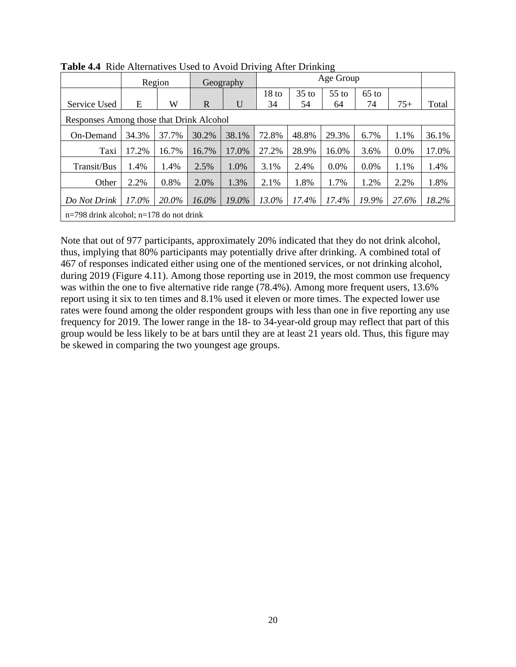|                                             | Region |       |             | Geography |                  | Age Group |         |         |         |       |
|---------------------------------------------|--------|-------|-------------|-----------|------------------|-----------|---------|---------|---------|-------|
|                                             |        |       |             |           | 18 <sub>to</sub> | $35$ to   | $55$ to | $65$ to |         |       |
| Service Used                                | E      | W     | $\mathbf R$ | U         | 34               | 54        | 64      | 74      | $75+$   | Total |
| Responses Among those that Drink Alcohol    |        |       |             |           |                  |           |         |         |         |       |
| On-Demand                                   | 34.3%  | 37.7% | 30.2%       | 38.1%     | 72.8%            | 48.8%     | 29.3%   | 6.7%    | 1.1%    | 36.1% |
| Taxi                                        | 17.2%  | 16.7% | 16.7%       | 17.0%     | 27.2%            | 28.9%     | 16.0%   | 3.6%    | $0.0\%$ | 17.0% |
| Transit/Bus                                 | 1.4%   | 1.4%  | 2.5%        | 1.0%      | 3.1%             | 2.4%      | 0.0%    | 0.0%    | 1.1%    | 1.4%  |
| Other                                       | 2.2%   | 0.8%  | 2.0%        | 1.3%      | 2.1%             | 1.8%      | 1.7%    | 1.2%    | 2.2%    | 1.8%  |
| Do Not Drink                                | 17.0%  | 20.0% | $16.0\%$    | 19.0%     | 13.0%            | 17.4%     | 17.4%   | 19.9%   | 27.6%   | 18.2% |
| $n=798$ drink alcohol; $n=178$ do not drink |        |       |             |           |                  |           |         |         |         |       |

**Table 4.4** Ride Alternatives Used to Avoid Driving After Drinking

Note that out of 977 participants, approximately 20% indicated that they do not drink alcohol, thus, implying that 80% participants may potentially drive after drinking. A combined total of 467 of responses indicated either using one of the mentioned services, or not drinking alcohol, during 2019 (Figure 4.11). Among those reporting use in 2019, the most common use frequency was within the one to five alternative ride range (78.4%). Among more frequent users, 13.6% report using it six to ten times and 8.1% used it eleven or more times. The expected lower use rates were found among the older respondent groups with less than one in five reporting any use frequency for 2019. The lower range in the 18- to 34-year-old group may reflect that part of this group would be less likely to be at bars until they are at least 21 years old. Thus, this figure may be skewed in comparing the two youngest age groups.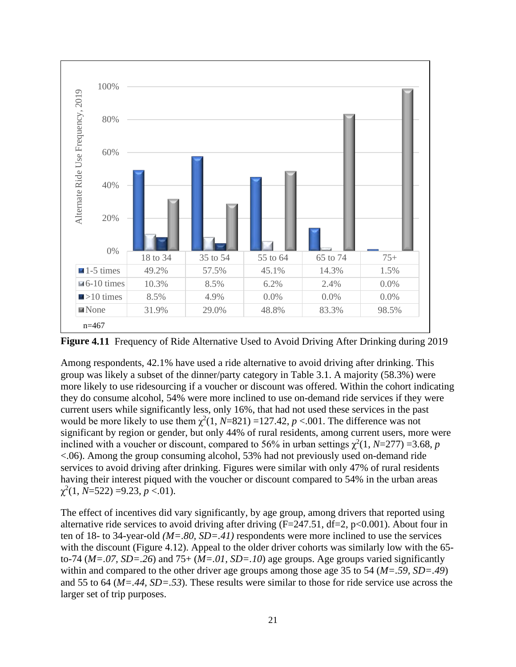

<span id="page-28-0"></span>**Figure 4.11** Frequency of Ride Alternative Used to Avoid Driving After Drinking during 2019

Among respondents, 42.1% have used a ride alternative to avoid driving after drinking. This group was likely a subset of the dinner/party category in Table 3.1. A majority (58.3%) were more likely to use ridesourcing if a voucher or discount was offered. Within the cohort indicating they do consume alcohol, 54% were more inclined to use on-demand ride services if they were current users while significantly less, only 16%, that had not used these services in the past would be more likely to use them  $\chi^2(1, N=821)$  =127.42,  $p < .001$ . The difference was not significant by region or gender, but only 44% of rural residents, among current users, more were inclined with a voucher or discount, compared to 56% in urban settings  $\chi^2(1, N=277) = 3.68$ , *p* <.06). Among the group consuming alcohol, 53% had not previously used on-demand ride services to avoid driving after drinking. Figures were similar with only 47% of rural residents having their interest piqued with the voucher or discount compared to 54% in the urban areas  $\chi^2(1, N=522) = 9.23, p < 0.01$ .

The effect of incentives did vary significantly, by age group, among drivers that reported using alternative ride services to avoid driving after driving  $(F=247.51, df=2, p<0.001)$ . About four in ten of 18- to 34-year-old *(M=.80, SD=.41)* respondents were more inclined to use the services with the discount (Figure 4.12). Appeal to the older driver cohorts was similarly low with the 65to-74 (*M=.07, SD=.26*) and 75+ (*M=.01, SD=.10*) age groups. Age groups varied significantly within and compared to the other driver age groups among those age 35 to 54 (*M=.59, SD=.49*) and 55 to 64 (*M=.44, SD=.53*). These results were similar to those for ride service use across the larger set of trip purposes.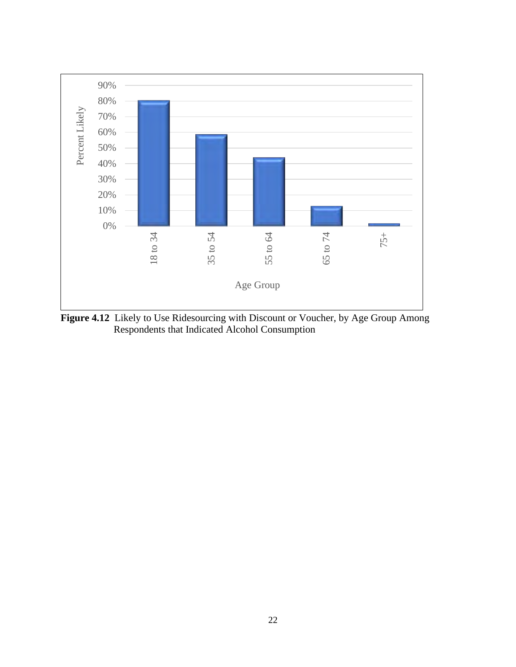

<span id="page-29-0"></span>**Figure 4.12** Likely to Use Ridesourcing with Discount or Voucher, by Age Group Among Respondents that Indicated Alcohol Consumption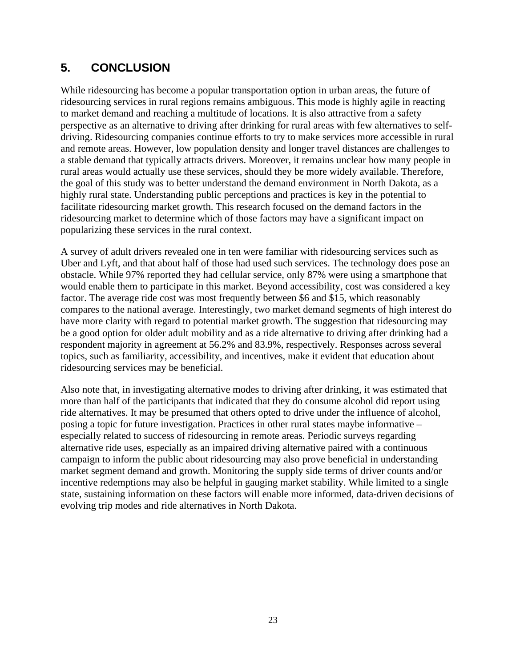# **5. CONCLUSION**

While ridesourcing has become a popular transportation option in urban areas, the future of ridesourcing services in rural regions remains ambiguous. This mode is highly agile in reacting to market demand and reaching a multitude of locations. It is also attractive from a safety perspective as an alternative to driving after drinking for rural areas with few alternatives to selfdriving. Ridesourcing companies continue efforts to try to make services more accessible in rural and remote areas. However, low population density and longer travel distances are challenges to a stable demand that typically attracts drivers. Moreover, it remains unclear how many people in rural areas would actually use these services, should they be more widely available. Therefore, the goal of this study was to better understand the demand environment in North Dakota, as a highly rural state. Understanding public perceptions and practices is key in the potential to facilitate ridesourcing market growth. This research focused on the demand factors in the ridesourcing market to determine which of those factors may have a significant impact on popularizing these services in the rural context.

A survey of adult drivers revealed one in ten were familiar with ridesourcing services such as Uber and Lyft, and that about half of those had used such services. The technology does pose an obstacle. While 97% reported they had cellular service, only 87% were using a smartphone that would enable them to participate in this market. Beyond accessibility, cost was considered a key factor. The average ride cost was most frequently between \$6 and \$15, which reasonably compares to the national average. Interestingly, two market demand segments of high interest do have more clarity with regard to potential market growth. The suggestion that ridesourcing may be a good option for older adult mobility and as a ride alternative to driving after drinking had a respondent majority in agreement at 56.2% and 83.9%, respectively. Responses across several topics, such as familiarity, accessibility, and incentives, make it evident that education about ridesourcing services may be beneficial.

Also note that, in investigating alternative modes to driving after drinking, it was estimated that more than half of the participants that indicated that they do consume alcohol did report using ride alternatives. It may be presumed that others opted to drive under the influence of alcohol, posing a topic for future investigation. Practices in other rural states maybe informative – especially related to success of ridesourcing in remote areas. Periodic surveys regarding alternative ride uses, especially as an impaired driving alternative paired with a continuous campaign to inform the public about ridesourcing may also prove beneficial in understanding market segment demand and growth. Monitoring the supply side terms of driver counts and/or incentive redemptions may also be helpful in gauging market stability. While limited to a single state, sustaining information on these factors will enable more informed, data-driven decisions of evolving trip modes and ride alternatives in North Dakota.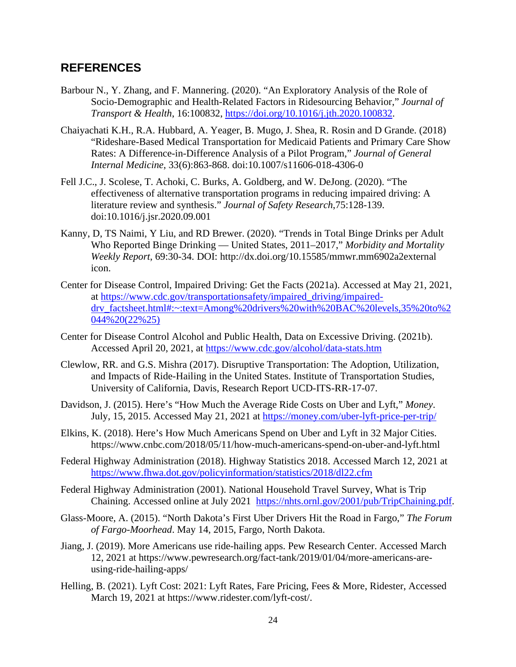#### **REFERENCES**

- Barbour N., Y. Zhang, and F. Mannering. (2020). "An Exploratory Analysis of the Role of Socio-Demographic and Health-Related Factors in Ridesourcing Behavior," *Journal of Transport & Health*, 16:100832, [https://doi.org/10.1016/j.jth.2020.100832.](https://doi.org/10.1016/j.jth.2020.100832)
- Chaiyachati K.H., R.A. Hubbard, A. Yeager, B. Mugo, J. Shea, R. Rosin and D Grande. (2018) "Rideshare-Based Medical Transportation for Medicaid Patients and Primary Care Show Rates: A Difference-in-Difference Analysis of a Pilot Program," *Journal of General Internal Medicine*, 33(6):863-868. doi:10.1007/s11606-018-4306-0
- Fell J.C., J. Scolese, T. Achoki, C. Burks, A. Goldberg, and W. DeJong. (2020). "The effectiveness of alternative transportation programs in reducing impaired driving: A literature review and synthesis." *Journal of Safety Research*,75:128-139. doi:10.1016/j.jsr.2020.09.001
- Kanny, D, TS Naimi, Y Liu, and RD Brewer. (2020). "Trends in Total Binge Drinks per Adult Who Reported Binge Drinking — United States, 2011–2017," *Morbidity and Mortality Weekly Report*, 69:30-34. DOI: http://dx.doi.org/10.15585/mmwr.mm6902a2external icon.
- Center for Disease Control, Impaired Driving: Get the Facts (2021a). Accessed at May 21, 2021, at [https://www.cdc.gov/transportationsafety/impaired\\_driving/impaired](https://www.cdc.gov/transportationsafety/impaired_driving/impaired-drv_factsheet.html#:%7E:text=Among%20drivers%20with%20BAC%20levels,35%20to%2044%20(22%25))drv factsheet.html#:~:text=Among%20drivers%20with%20BAC%20levels,35%20to%2 [044%20\(22%25\)](https://www.cdc.gov/transportationsafety/impaired_driving/impaired-drv_factsheet.html#:%7E:text=Among%20drivers%20with%20BAC%20levels,35%20to%2044%20(22%25))
- Center for Disease Control Alcohol and Public Health, Data on Excessive Driving. (2021b). Accessed April 20, 2021, at <https://www.cdc.gov/alcohol/data-stats.htm>
- Clewlow, RR. and G.S. Mishra (2017). Disruptive Transportation: The Adoption, Utilization, and Impacts of Ride-Hailing in the United States. Institute of Transportation Studies, University of California, Davis, Research Report UCD-ITS-RR-17-07.
- Davidson, J. (2015). Here's "How Much the Average Ride Costs on Uber and Lyft," *Money*. July, 15, 2015. Accessed May 21, 2021 at<https://money.com/uber-lyft-price-per-trip/>
- Elkins, K. (2018). Here's How Much Americans Spend on Uber and Lyft in 32 Major Cities. https://www.cnbc.com/2018/05/11/how-much-americans-spend-on-uber-and-lyft.html
- Federal Highway Administration (2018). Highway Statistics 2018. Accessed March 12, 2021 at <https://www.fhwa.dot.gov/policyinformation/statistics/2018/dl22.cfm>
- Federal Highway Administration (2001). National Household Travel Survey, What is Trip Chaining. Accessed online at July 2021 [https://nhts.ornl.gov/2001/pub/TripChaining.pdf.](https://nhts.ornl.gov/2001/pub/TripChaining.pdf)
- Glass-Moore, A. (2015). "North Dakota's First Uber Drivers Hit the Road in Fargo," *The Forum of Fargo-Moorhead*. May 14, 2015, Fargo, North Dakota.
- Jiang, J. (2019). More Americans use ride-hailing apps. Pew Research Center. Accessed March 12, 2021 at https://www.pewresearch.org/fact-tank/2019/01/04/more-americans-areusing-ride-hailing-apps/
- Helling, B. (2021). Lyft Cost: 2021: Lyft Rates, Fare Pricing, Fees & More, Ridester, Accessed March 19, 2021 at https://www.ridester.com/lyft-cost/.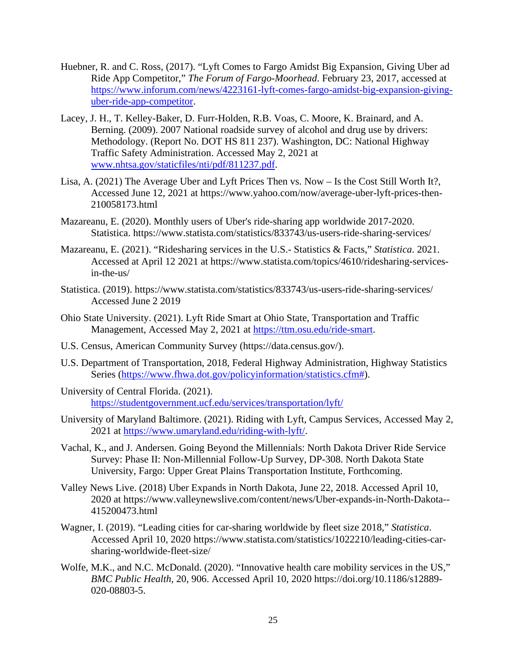- Huebner, R. and C. Ross, (2017). "Lyft Comes to Fargo Amidst Big Expansion, Giving Uber ad Ride App Competitor," *The Forum of Fargo-Moorhead*. February 23, 2017, accessed at [https://www.inforum.com/news/4223161-lyft-comes-fargo-amidst-big-expansion-giving](https://www.inforum.com/news/4223161-lyft-comes-fargo-amidst-big-expansion-giving-uber-ride-app-competitor)[uber-ride-app-competitor.](https://www.inforum.com/news/4223161-lyft-comes-fargo-amidst-big-expansion-giving-uber-ride-app-competitor)
- Lacey, J. H., T. Kelley-Baker, D. Furr-Holden, R.B. Voas, C. Moore, K. Brainard, and A. Berning. (2009). 2007 National roadside survey of alcohol and drug use by drivers: Methodology. (Report No. DOT HS 811 237). Washington, DC: National Highway Traffic Safety Administration. Accessed May 2, 2021 at [www.nhtsa.gov/staticfiles/nti/pdf/811237.pdf.](http://www.nhtsa.gov/staticfiles/nti/pdf/811237.pdf)
- Lisa, A. (2021) The Average Uber and Lyft Prices Then vs. Now Is the Cost Still Worth It?, Accessed June 12, 2021 at https://www.yahoo.com/now/average-uber-lyft-prices-then-210058173.html
- Mazareanu, E. (2020). Monthly users of Uber's ride-sharing app worldwide 2017-2020. Statistica. https://www.statista.com/statistics/833743/us-users-ride-sharing-services/
- Mazareanu, E. (2021). "Ridesharing services in the U.S.- Statistics & Facts," *Statistica*. 2021. Accessed at April 12 2021 at https://www.statista.com/topics/4610/ridesharing-servicesin-the-us/
- Statistica. (2019). https://www.statista.com/statistics/833743/us-users-ride-sharing-services/ Accessed June 2 2019
- Ohio State University. (2021). Lyft Ride Smart at Ohio State, Transportation and Traffic Management, Accessed May 2, 2021 at [https://ttm.osu.edu/ride-smart.](https://ttm.osu.edu/ride-smart)
- U.S. Census, American Community Survey (https://data.census.gov/).
- U.S. Department of Transportation, 2018, Federal Highway Administration, Highway Statistics Series [\(https://www.fhwa.dot.gov/policyinformation/statistics.cfm#\)](https://www.fhwa.dot.gov/policyinformation/statistics.cfm).
- University of Central Florida. (2021). <https://studentgovernment.ucf.edu/services/transportation/lyft/>
- University of Maryland Baltimore. (2021). Riding with Lyft, Campus Services, Accessed May 2, 2021 at [https://www.umaryland.edu/riding-with-lyft/.](https://www.umaryland.edu/riding-with-lyft/)
- Vachal, K., and J. Andersen. Going Beyond the Millennials: North Dakota Driver Ride Service Survey: Phase II: Non-Millennial Follow-Up Survey, DP-308. North Dakota State University, Fargo: Upper Great Plains Transportation Institute, Forthcoming.
- Valley News Live. (2018) Uber Expands in North Dakota, June 22, 2018. Accessed April 10, 2020 at https://www.valleynewslive.com/content/news/Uber-expands-in-North-Dakota-- 415200473.html
- Wagner, I. (2019). "Leading cities for car-sharing worldwide by fleet size 2018," *Statistica*. Accessed April 10, 2020 https://www.statista.com/statistics/1022210/leading-cities-carsharing-worldwide-fleet-size/
- Wolfe, M.K., and N.C. McDonald. (2020). "Innovative health care mobility services in the US," *BMC Public Health,* 20, 906. Accessed April 10, 2020 https://doi.org/10.1186/s12889- 020-08803-5.